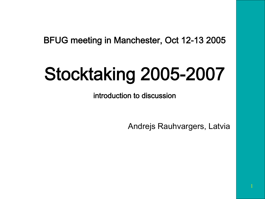BFUG meeting in Manchester, Oct 12-13 2005

## Stocktaking 2005-2007

introduction to discussion

Andrejs Rauhvargers, Latvia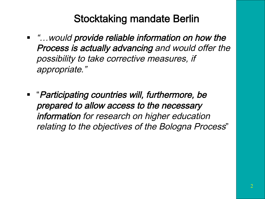#### Stocktaking mandate Berlin

- "... would provide reliable information on how the Process is actually advancing and would offer the possibility to take corrective measures, if appropriate."
- "Participating countries will, furthermore, be prepared to allow access to the necessary information for research on higher education relating to the objectives of the Bologna Process"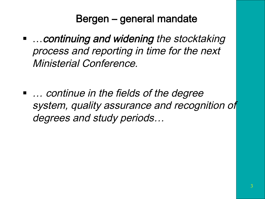#### Bergen – general mandate

- …continuing and widening the stocktaking process and reporting in time for the next Ministerial Conference.
- … continue in the fields of the degree system, quality assurance and recognition of degrees and study periods…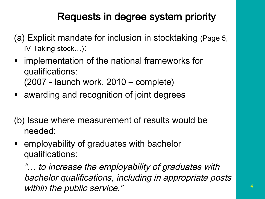#### Requests in degree system priority

- (a) Explicit mandate for inclusion in stocktaking (Page 5, IV Taking stock…):
- implementation of the national frameworks for qualifications: (2007 - launch work, 2010 – complete)
- awarding and recognition of joint degrees
- (b) Issue where measurement of results would be needed:
- employability of graduates with bachelor qualifications:

"… to increase the employability of graduates with bachelor qualifications, including in appropriate posts within the public service."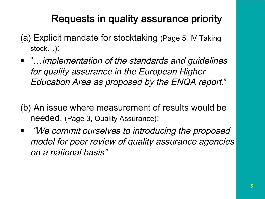## Requests in quality assurance priority

- (a) Explicit mandate for stocktaking (Page 5, IV Taking stock…):
- "…implementation of the standards and guidelines for quality assurance in the European Higher Education Area as proposed by the ENQA report."
- (b) An issue where measurement of results would be needed, (Page 3, Quality Assurance):
- "We commit ourselves to introducing the proposed model for peer review of quality assurance agencies on a national basis"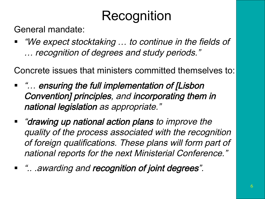# Recognition<br>General mandate:

■ "We expect stocktaking ... to continue in the fields of … recognition of degrees and study periods."

Concrete issues that ministers committed themselves to:

- "... ensuring the full implementation of [Lisbon Convention] principles, and incorporating them in national legislation as appropriate."
- "drawing up national action plans to improve the quality of the process associated with the recognition of foreign qualifications. These plans will form part of national reports for the next Ministerial Conference."
- ".. .awarding and recognition of joint degrees".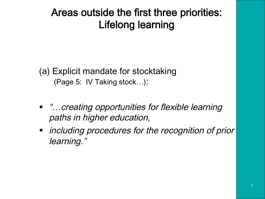#### Areas outside the first three priorities: Lifelong learning

(a) Explicit mandate for stocktaking (Page 5: IV Taking stock…):

- "…creating opportunities for flexible learning paths in higher education,
- *including procedures for the recognition of prior* learning."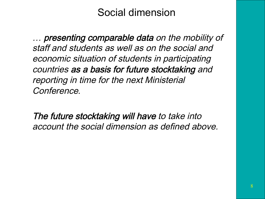#### Social dimension

… presenting comparable data on the mobility of staff and students as well as on the social and economic situation of students in participating countries as a basis for future stocktaking and reporting in time for the next Ministerial Conference.

The future stocktaking will have to take into account the social dimension as defined above.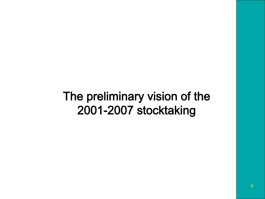## The preliminary vision of the 2001-2007 stocktaking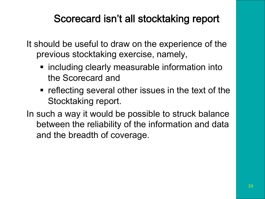#### Scorecard isn't all stocktaking report

It should be useful to draw on the experience of the previous stocktaking exercise, namely,

- including clearly measurable information into the Scorecard and
- reflecting several other issues in the text of the Stocktaking report.
- In such a way it would be possible to struck balance between the reliability of the information and data and the breadth of coverage.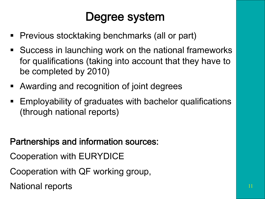## Degree system

- Previous stocktaking benchmarks (all or part)
- Success in launching work on the national frameworks for qualifications (taking into account that they have to be completed by 2010)
- Awarding and recognition of joint degrees
- Employability of graduates with bachelor qualifications (through national reports)

Partnerships and information sources:

Cooperation with EURYDICE

Cooperation with QF working group,

National reports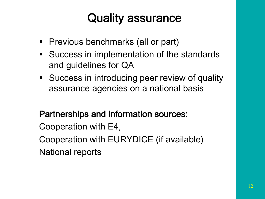## Quality assurance

- Previous benchmarks (all or part)
- Success in implementation of the standards and guidelines for QA
- Success in introducing peer review of quality assurance agencies on a national basis

#### Partnerships and information sources:

Cooperation with E4,

Cooperation with EURYDICE (if available)

National reports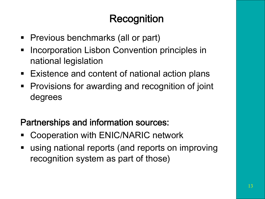## Recognition

- Previous benchmarks (all or part)
- Incorporation Lisbon Convention principles in national legislation
- Existence and content of national action plans
- Provisions for awarding and recognition of joint degrees

#### Partnerships and information sources:

- Cooperation with ENIC/NARIC network
- using national reports (and reports on improving recognition system as part of those)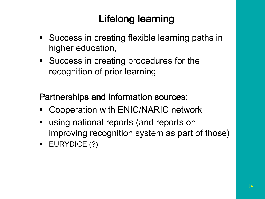## Lifelong learning

- Success in creating flexible learning paths in higher education,
- Success in creating procedures for the recognition of prior learning.

#### Partnerships and information sources:

- Cooperation with ENIC/NARIC network
- using national reports (and reports on improving recognition system as part of those)
- § EURYDICE (?)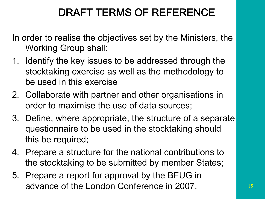## DRAFT TERMS OF REFERENCE

In order to realise the objectives set by the Ministers, the Working Group shall:

- 1. Identify the key issues to be addressed through the stocktaking exercise as well as the methodology to be used in this exercise
- 2. Collaborate with partner and other organisations in order to maximise the use of data sources;
- 3. Define, where appropriate, the structure of a separate questionnaire to be used in the stocktaking should this be required;
- 4. Prepare a structure for the national contributions to the stocktaking to be submitted by member States;
- 5. Prepare a report for approval by the BFUG in advance of the London Conference in 2007.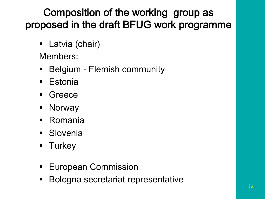## Composition of the working group as proposed in the draft BFUG work programme

■ Latvia (chair)

Members:

- Belgium Flemish community
- Estonia
- § Greece
- § Norway
- Romania
- § Slovenia
- § Turkey
- European Commission
- § Bologna secretariat representative